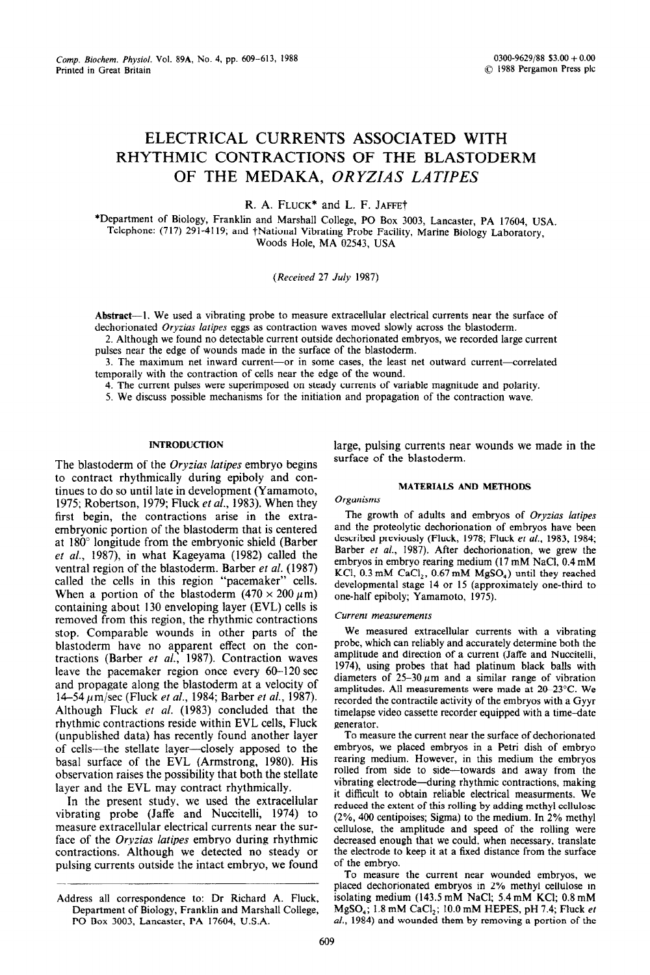# **ELECTRICAL CURRENTS ASSOCIATED WITH RHYTHMIC CONTRACTIONS OF THE BLASTODERM**  OF THE MEDAKA, ORYZIAS LATIPES

R. A. FLUCK<sup>\*</sup> and L. F. JAFFE<sup>+</sup>

\*Department of Biology, Frankiin and Marshall College, PO Box 3003, **Lancaster, PA 17604, UsA.**  Telephone: (717) 291-4119; and tNationa1 Vibrating Probe Facility, Marine **Biology Laboratory,**  Woods Hole, MA 02543, USA

*(Received 27 Juiy 1987)* 

**Abstract-l.** We used a vibrating probe to measure extracellular electrical currents near the surface of dechorionated *Oryzim laripes eggs* as contraction waves moved slowly across the blastoderm.

2. Although we found no detectable current outside dechorionated embryos, we recorded large current pulses near the edge of wounds made in the surface of the blastoderm.

3. The maximum net inward current-or in some cases, the least net outward current-correlated temporally with the contraction of cells near the edge of the wound.

4. The current pulses were superimposed on steady currents of variable magnitude and polarity.

5. We discuss possible mechanisms for the initiation and propagation of the contraction wave.

## **INTRODUCTION**

The blastoderm of the *Oryzias lutipes* embryo begins to contract rhythmically during epiboly and continues to do so until late in development (Yamamoto, 1975; Robertson, 1979; Fluck et al., 1983). When they first begin, the contractions arise in the extraembryonic portion of the blastoderm that is centered at 180" longitude from the embryonic shield (Barber et al., 1987), in what Kageyama (1982) called the ventral region of the blastoderm. Barber et al. (1987) called the cells in this region "pacemaker" cells. When a portion of the blastoderm  $(470 \times 200 \,\mu\text{m})$ containing about 130 enveloping layer (EVL) cells is removed from this region, the rhythmic contractions stop. Comparable wounds in other parts of the blastoderm have no apparent effect on the contractions (Barber ef *al.,* 1987). Contraction waves leave the pacemaker region once every 60-120 sec and propagate along the blastoderm at a velocity of 14-54 lim/sec (Fluck et al., 1984; Barber *et al.,* 1987). Although Fluck *et al.* (1983) concluded that the rhythmic contractions reside within EVL cells, Fluck (unpublished data) has recently found another layer of cells-the stellate layer-closely apposed to the basal surface of the EVL (Armstrong, 1980). His observation raises the possibility that both the stellate layer and the EVL may contract rhythmically.

In the present study, we used the extracellular vibrating probe (Jaffe and Nuccitelli, 1974) to measure extracellular electrical currents near the surface of the *Oryzias lutipes* embryo during rhythmic contractions. Although we detected no steady or pulsing currents outside the intact embryo, we found large, pulsing currents near wounds we made in the surface of the blastoderm.

# MATERIALS AND METHODS

#### $Organisms$

The growth of adults and embryos of *Oryzius latipes*  and the proteolytic dechorionation of embryos have been described previously (Fluck, 1978; Fluck et al., 1983, 1984; Barber et al., 1987). After dechorionation, we grew the embryos in embryo rearing medium (17 mM NaCl, 0.4 mM KCl,  $0.3 \text{ mM } \text{CaCl}_2$ ,  $0.67 \text{ mM } \text{MgSO}_4$ ) until they reached developmental stage 14 or 15 (approximately one-third to one-half epiboly; Yamamoto, 1975).

## *Current measurements*

We measured extracellular currents with a vibrating probe, which can reliably and accurately determine both the amplitude and direction of a current (Jaffe and Nuccitelli, 1974), using probes that had platinum black balls with diameters of  $25-30 \mu m$  and a similar range of vibration amplitudes. All measurements were made at 2@-23°C. We recorded the contractile activity of the embryos with a Gyyr timelapse video cassette recorder equipped with a time-date generator.

To measure the current near the surface of dechorionated embryos, we placed embryos in a Petri dish of embryo rearing medium. However, in this medium the embryos rolled from side to side-towards and away from the vibrating electrode-during rhythmic contractions, making it difficult to obtain reliable electrical measurments. We reduced the extent of this rolling by adding methyl cellulose (2%, 400 centipoises; Sigma) to the medium. In 2% methyl cellulose, the amplitude and speed of the rolling were decreased enough that we could, when necessary, translate the electrode to keep it at a fixed distance from the surface of the embryo.

To measure the current near wounded embryos, we placed dechorionated embryos in 2% methyl cellulose in isolating medium (143.5 mM NaCl; 5.4 mM KCl; 0.8 mM MgSO,; 1.8 mM CaCl,; 10.0 mM HEPES, pH 7.4; Fluck *et al.,* 1984) and wounded them by removing a portion of the

Address all correspondence to: Dr Richard A. Fluck, Department of Biology, Franklin and Marshall College, PO Box 3003, Lancaster, PA 17604, U.S.A.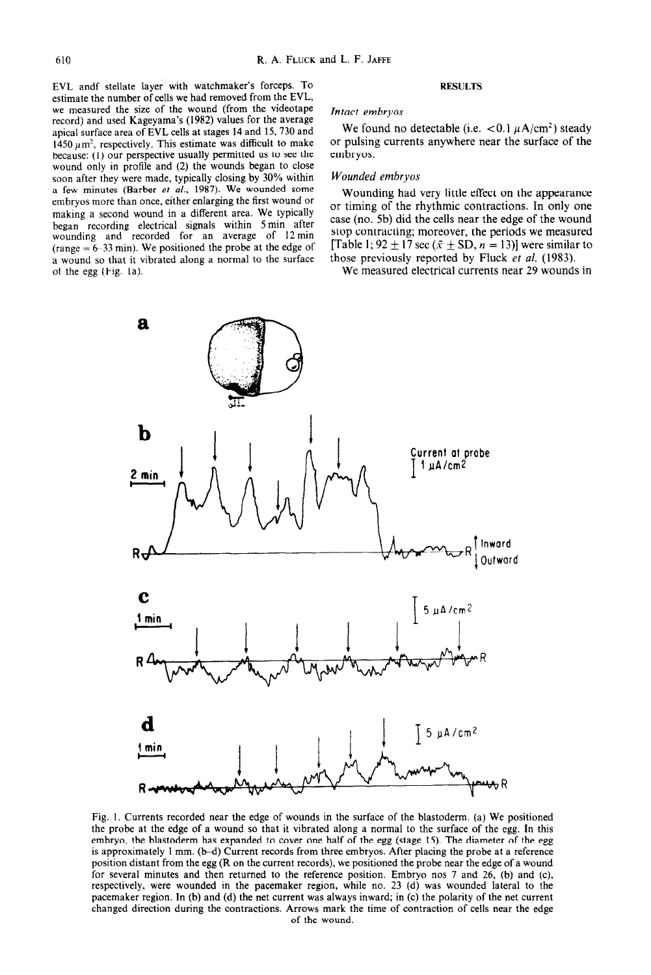EVL andf stellate layer with watchmaker's forceps. TO estimate the number of cells we had removed from the EVL, we measured the size of the wound (from the videotape record) and used Kageyama's (1982) values for the average apical surface area of EVL cells at stages 14 and 15,730 and 1450  $\mu$ m<sup>2</sup>, respectively. This estimate was difficult to make because: (1) our perspective usually permitted us to see the wound only in profile and (2) the wounds began to close soon after they were made, typically closing by 30% within a few minutes (Barber et al., 1987). We wounded some embryos more than once, either enlarging the first wound or making a second wound in a different area. We typically began recording electrical signals within 5 min after wounding and recorded for an average of 12min (range  $= 6-33$  min). We positioned the probe at the edge of a wound so that it vibrated along a normal to the surface of the egg (Fig. la).

#### RESULTS

# *Intact embryos*

We found no detectable (i.e.  $\lt 0.1 \mu A/cm^2$ ) steady or pulsing currents anywhere near the surface of the embryos.

# *Wounded embryos*

Wounding had very little effect on the appearance or timing of the rhythmic contractions. In only one case (no. 5b) did the cells near the edge of the wound stop contracting; moreover, the periods we measured [Table 1; 92  $\pm$  17 sec ( $\bar{x} \pm SD$ , n = 13)] were similar to those previousIy reported by Fluck et *al.* (1983).

We measured electrical currents near 29 wounds in



Fig. 1. Currents recorded near the edge of wounds in the surface of the blastoderm. (a) We positioned the probe at the edge of a wound so that it vibrated along a normal to the surface of the egg. In this embryo, the blastoderm has expanded to cover one half of the egg (stage 15). The diameter of the egg is approximately 1 mm. (b-d) Current records from three embryos. After placing the probe at a reference position distant from the egg (R on the current records), we positioned the probe near the edge of a wound for several minutes and then returned to the reference position. Embryo nos 7 and 26, (b) and (c), respectively, were wounded in the pacemaker region, while no. 23 (d) was wounded lateral to the pacemaker region. In (b) and (d) the net current was always inward; in (c) the polarity of the net current changed direction during the contractions. Arrows mark the time of contraction of celfs near the edge of the wound.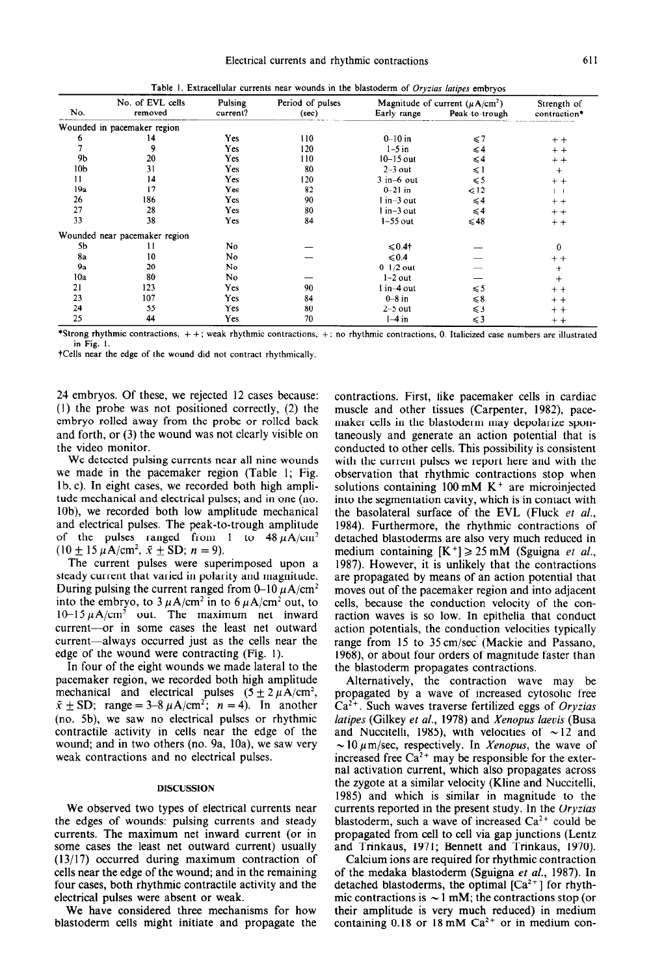|  | Table 1. Extracellular currents near wounds in the blastoderm of Oryzias latipes embryo |  |  |  |  |  |  |  |  |  |  |
|--|-----------------------------------------------------------------------------------------|--|--|--|--|--|--|--|--|--|--|
|--|-----------------------------------------------------------------------------------------|--|--|--|--|--|--|--|--|--|--|

|                 |                               |                     | Period of pulses<br>(sec) |                   |                                                       |                             |
|-----------------|-------------------------------|---------------------|---------------------------|-------------------|-------------------------------------------------------|-----------------------------|
| No.             | No. of EVL cells<br>removed   | Pulsing<br>current? |                           | Early range       | Magnitude of current $(\mu A/cm^2)$<br>Peak-to-trough | Strength of<br>contraction* |
|                 | Wounded in pacemaker region   |                     |                           |                   |                                                       |                             |
| 6               | 14                            | Yes                 | 110                       | $0 - 10$ in       | $\leq 7$                                              | $+ +$                       |
|                 | 9                             | Yes                 | 120                       | $1-5$ in          | $\leq 4$                                              | $+ +$                       |
| 9b              | 20                            | Yes                 | 110                       | $10-15$ out       | $\leqslant$ 4                                         | $+ +$                       |
| 10 <sub>b</sub> | 31                            | Yes                 | 80                        | $2-3$ out         | ≤1                                                    | $^{+}$                      |
| 11              | 14                            | Yes                 | 120                       | $3$ in-6 out      | $\leq 5$                                              | $+ +$                       |
| 19a             | 17                            | Yes                 | 82                        | $0 - 21$ in       | $\leq 12$                                             | $+ +$                       |
| 26              | 186                           | Yes                 | 90                        | $1 in-3 out$      | $\leqslant$ 4                                         | $+ +$                       |
| 27              | 28                            | Yes                 | 80                        | $1$ in $-3$ out   | $\leqslant 4$                                         | $+ +$                       |
| 33              | 38                            | Yes                 | 84                        | $1-55$ out        | $\leq 48$                                             | $+ +$                       |
|                 | Wounded near pacemaker region |                     |                           |                   |                                                       |                             |
| 5b              | 11                            | No                  |                           | $\leqslant 0.4$ † |                                                       | $\bf{0}$                    |
| 8a              | 10                            | No                  |                           | $\leq 0.4$        |                                                       | $^+$ +                      |
| 9a              | 20                            | No                  |                           | $0$ 1/2 out       |                                                       | $^+$                        |
| 10a             | 80                            | No                  |                           | $1-2$ out         |                                                       | $\pm$                       |
| 21              | 123                           | Yes                 | 90                        | l in-4 out        | $\leqslant$ 5                                         | $+ +$                       |
| 23              | 107                           | Yes                 | 84                        | $0-8$ in          | $\leq 8$                                              | $+ +$                       |
| 24              | 55                            | Yes                 | 80                        | $2-5$ out         | $\leqslant$ 3                                         | $+ +$                       |
| 25              | 44                            | Yes                 | 70                        | $1-4$ in          | $\leqslant$ 3                                         | $+ +$                       |

\*Strong rhythmic contractions, + f: weak rhythmic contractions, +: no rhythmic contractions, 0. Italicized case numbers are illustrated in Fig. I.

tCells near the edge of the wound did not contract rhythmically.

24 embryos. Of these, we rejected 12 cases because: (1) the probe was not positioned correctly, (2) the embryo rolled away from the probe or rolled back and forth, or (3) the wound was not clearly visible on the video monitor.

We detected pulsing currents near all nine wounds we made in the pacemaker region (Table 1; Fig. lb, c). In eight cases, we recorded both high amplitude mechanical and electrical pulses; and in one (no. lob), we recorded both low amplitude mechanical and electrical pulses. The peak-to-trough amplitude of the pulses ranged from 1 to  $48 \mu A/cm^2$  $(10 \pm 15 \mu A/cm^2, \bar{x} \pm SD; n = 9).$ 

The current pulses were superimposed upon a steady current that varied in polarity and magnitude. During pulsing the current ranged from 0–10  $\mu$ A/cm<sup>2</sup> into the embryo, to  $3 \mu A/cm^2$  in to  $6 \mu A/cm^2$  out, to  $10-15 \mu A/cm^2$  out. The maximum net inward current-or in some cases the least net outward current-always occurred just as the cells near the edge of the wound were contracting (Fig. 1).

In four of the eight wounds we made lateral to the pacemaker region, we recorded both high amplitude mechanical and electrical pulses  $(5 \pm 2 \mu A/cm^2)$ ,  $\bar{x} \pm SD$ ; range = 3-8  $\mu$ A/cm<sup>2</sup>; n = 4). In another (no. 5b), we saw no electrical pulses or rhythmic contractile activity in cells near the edge of the wound; and in two others (no. 9a, 10a), we saw very weak contractions and no electrical pulses.

#### DISCUSSION

We observed two types of electrical currents near the edges of wounds: pulsing currents and steady currents. The maximum net inward current (or in some cases the least net outward current) usually (13/17) occurred during maximum contraction of cells near the edge of the wound; and in the remaining four cases, both rhythmic contractile activity and the electrical pulses were absent or weak.

We have considered three mechanisms for how blastoderm cells might initiate and propagate the contractions. First, like pacemaker cells in cardiac muscle and other tissues (Carpenter, 1982), pacemaker cells in the blastoderm may depolarize spontaneously and generate an action potential that is conducted to other cells. This possibility is consistent with the current pulses we report here and with the observation that rhythmic contractions stop when solutions containing  $100 \text{ mM K}^+$  are microinjected into the segmentation cavity, which is in contact with the basolateral surface of the EVL (Fluck et al., 1984). Furthermore, the rhythmic contractions of detached blastoderms are also very much reduced in medium containing  $[K^+] \ge 25$  mM (Sguigna et al., 1987). However, it is unlikely that the contractions are propagated by means of an action potential that moves out of the pacemaker region and into adjacent cells, because the conduction velocity of the conraction waves is so low. In epithelia that conduct action potentials, the conduction velocities typically range from 15 to 35cm/sec (Mackie and Passano, 1968), or about four orders of magnitude faster than the blastoderm propagates contractions.

Alternatively, the contraction wave may be propagated by a wave of increased cytosolic free Ca\*+. Such waves traverse fertilized eggs of *Oryzias latipes* (Gilkey *et al.,* 1978) and *Xenopus laevis* (Busa and Nuccitelli, 1985), with velocities of  $\sim$  12 and  $\sim 10 \mu$ m/sec, respectively. In *Xenopus*, the wave of increased free  $Ca^{2+}$  may be responsible for the external activation current, which also propagates across the zygote at a similar velocity (Kline and Nuccitelli, 1985) and which is similar in magnitude to the currents reported in the present study. In the *Oryzius*  blastoderm, such a wave of increased  $Ca^{2+}$  could be propagated from cell to cell via gap junctions (Lentz and Trinkaus, 1971; Bennett and Trinkaus, 1970).

Calcium ions are required for rhythmic contraction of the medaka blastoderm (Sguigna et al., 1987). In detached blastoderms, the optimal  $[Ca<sup>2+</sup>]$  for rhythmic contractions is  $\sim$  1 mM; the contractions stop (or their amplitude is very much reduced) in medium containing 0.18 or 18 mM  $Ca^{2+}$  or in medium con-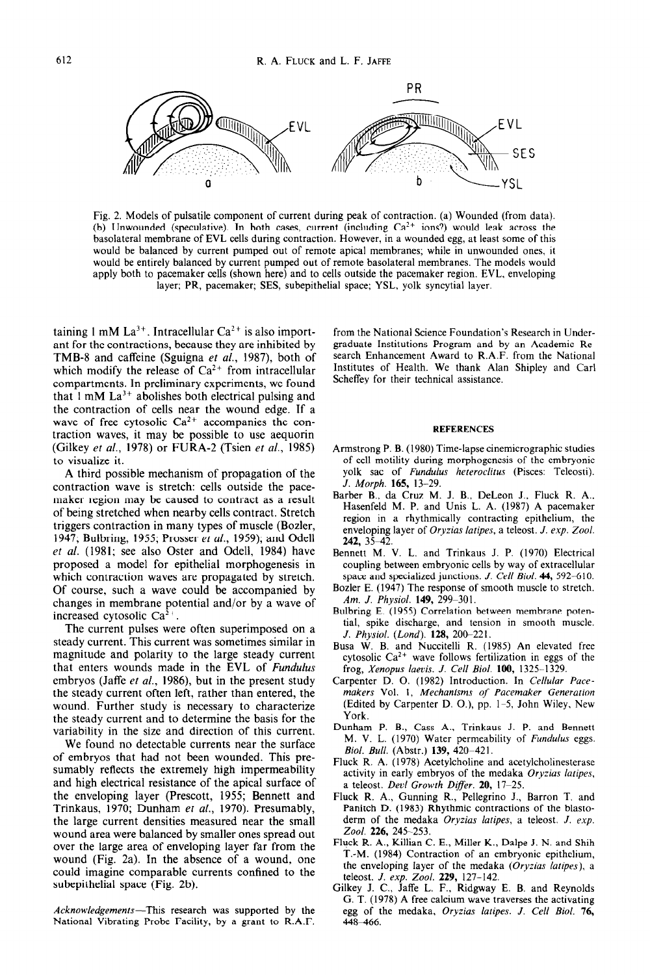

Fig. 2. Models of pulsatile component of current during peak of contraction. (a) Wounded (from data). (b) Unwounded (speculative). In both cases, current (including  $Ca<sup>2+</sup>$  ions?) would leak across the basolateral membrane of EVL cells during contraction. However, in a wounded egg, at least some of this would be balanced by current pumped out of remote apical membranes; while in unwounded ones, it would be entirely balanced by current pumped out of remote basolateral membranes. The models would apply both to pacemaker cells (shown here) and to cells outside the pacemaker region. EVL. enveloping layer; PR, pacemaker; SES, subepithelial space; YSL, yolk syncytial layer.

taining 1 mM  $La^{3+}$ . Intracellular  $Ca^{2+}$  is also important for the contractions, because they are inhibited by TMB-8 and caffeine (Sguigna *et al.,* 1987), both of which modify the release of  $Ca^{2+}$  from intracellular compartments. In preliminary experiments, we found that  $1 \text{ mM } La^{3+}$  abolishes both electrical pulsing and the contraction of cells near the wound edge. If a wave of free cytosolic  $Ca^{2+}$  accompanies the contraction waves, it may be possible to use aequorin (Gilkey *et al.*, 1978) or FURA-2 (Tsien *et al.*, 1985) to visualize it.

A third possible mechanism of propagation of the contraction wave is stretch: cells outside the pacemaker region may be caused to contract as a result of being stretched when nearby cells contract. Stretch triggers contraction in many types of muscle (Bozler, 1947; Bulbring, 1955; Prosser *et al.,* 1959); and Ode11 *et al.* (1981; see also Oster and Odell, 1984) have proposed a model for epithelial morphogenesis in which contraction waves are propagated by stretch. Of course, such a wave could be accompanied by changes in membrane potential and/or by a wave of increased cytosolic  $Ca<sup>2+</sup>$ .

The current pulses were often superimposed on a steady current. This current was sometimes similar in magnitude and polarity to the large steady current that enters wounds made in the EVL of *Fundulus*  embryos (Jaffe *et al.,* 1986), but in the present study the steady current often left, rather than entered, the wound. Further study is necessary to characterize the steady current and to determine the basis for the variability in the size and direction of this current.

We found no detectable currents near the surface of embryos that had not been wounded. This presumably reflects the extremely high impermeability and high electrical resistance of the apical surface of the enveloping layer (Prescott, 1955; Bennett and Trinkaus, 1970; Dunham *et al.,* 1970). Presumably, the large current densities measured near the small wound area were balanced by smaller ones spread out over the large area of enveloping layer far from the wound (Fig. 2a). In the absence of a wound, one could imagine comparable currents confined to the subepithelial space (Fig. 2b).

*Acknowledgements-This* research was supported by the National Vibrating Probe Facility, by a grant to R.A.F.

from the National Science Foundation's Research in Undergraduate Institutions Program and by an Academic Research Enhancement Award to R.A.F. from the National Institutes of Health. We thank Alan Shipley and Carl Scheffey for their technical assistance.

#### REFERENCES

- Armstrong P. B. (1980) Time-lapse cinemicrographic studies of cell motility during morphogenesis of the embryonic yolk sac of *Fundulus heteroclitus* (Pisces: Teleosti). *J. Morph. 165, 13-29.*
- Barber B., da Cruz M. J. B., DeLeon J., Fluck R. A., Hasenfeld M. P. and Unis L. A. (1987) A pacemaker region in a rhythmically contracting epithelium, the enveloping layer of *Oryzias latipes,* a teleost. *J. exp. Zool.*  242, 35–42
- Bennett M. V. L. and Trinkaus J. P. (1970) Electrical coupling between embryonic cells by way of extracellular space and specialized junctions. *J. Cell Biol.* 44, 592-610.
- Bozler E. (1947) The response of smooth muscle to stretch. *Am. J. Physiol.* **149,** 299-301.
- Bulbring E. (1955) Correlation between membrane potential, spike discharge, and tension in smooth muscle. *J. Physiol. (Lond). 128, 200-221.*
- Busa W. B. and Nuccitelli R. (1985) An elevated free cytosolic  $Ca^{2+}$  wave follows fertilization in eggs of the frog, *Xenopus laevis. J. Cell Biol.* 100, 1325-1329.
- Carpenter D. 0. (1982) Introduction. In *Cellular Pacemakers* Vol. I, *Mechanisms of Pacemaker Generation*  (Edited by Carpenter D. O.), pp. l-5, John Wiley. New York.
- Dunham P. B., Cass A., Trinkaus J. P. and Bennett M. V. L. (1970) Water permeability of *Fundulus* eggs. *Biol. Bull.* (Abstr.) 139, 420-421. .
- Fluck R. A. (1978) Acetylcholine and acetylcholinesterase activity in early embryos of the medaka *Oryzias latipes,*  a teleost. *Devl Growth Differ. 20, 17-25.*
- Fluck R. A., Gunning R., Pellegrino J., Barron T. and Panitch D. (1983) Rhythmic contractions of the blastoderm of the medaka *Oryrias latipes,* a teleost. *J. exp. Zool.* 226, 245-253.
- Fluck R. A., Killian C. E., Miller K., Dalpe J. N. and Shih T.-M. (1984) Contraction of an embryonic epithelium, the enveloping layer of the medaka (Oryzias *latipes).* a teleost. *J. exp. Zool. 229, 127-142.*
- Gilkey J. C., Jaffe L. F., Ridgway E. B. and Reynold G. T. (1978) A free calcium wave traverses the activating egg of the medaka, *Oryzias latipes. J. Cell Biol.* 76, 448-466.